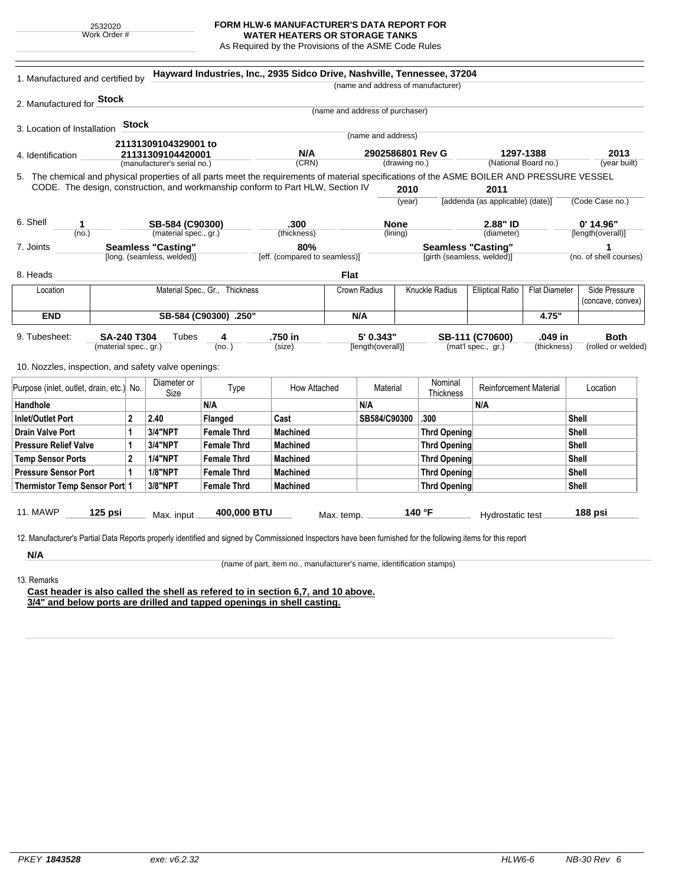2532020 Work Order #

## **FORM HLW-6 MANUFACTURER'S DATA REPORT FOR**

**WATER HEATERS OR STORAGE TANKS** As Required by the Provisions of the ASME Code Rules

| 2. Manufactured for <b>Stock</b><br>(name and address of purchaser)<br><b>Stock</b><br>(name and address)<br>21131309104329001 to<br>N/A<br>2902586801 Rev G<br>1297-1388<br>21131309104420001<br>(year built)<br>(CRN)<br>(drawing no.)<br>(National Board no.)<br>(manufacturer's serial no.)<br>CODE. The design, construction, and workmanship conform to Part HLW, Section IV<br>2011<br>2010<br>[addenda (as applicable) (date)]<br>(year)<br>$0'$ 14.96"<br>.300<br>2.88" ID<br>SB-584 (C90300)<br><b>None</b><br>1<br>(material spec., gr.)<br>(thickness)<br>(lining)<br>(diameter)<br>[length(overall)]<br>(no.)<br><b>Seamless "Casting"</b><br>80%<br><b>Seamless "Casting"</b><br>1<br>[long. (seamless, welded)]<br>[eff. (compared to seamless)]<br>[girth (seamless, welded)]<br><b>Flat</b><br><b>Knuckle Radius</b><br>Side Pressure<br>Material Spec., Gr., Thickness<br>Crown Radius<br><b>Elliptical Ratio</b><br><b>Flat Diameter</b><br>Location<br><b>END</b><br>4.75"<br>SB-584 (C90300) .250"<br>N/A<br>SA-240 T304<br><b>Tubes</b><br>.750 in<br>5' 0.343"<br>SB-111 (C70600)<br>.049 in<br><b>Both</b><br>4<br>(material spec., gr.)<br>(size)<br>[length(overall)]<br>(mat'l spec., gr.)<br>(no. )<br>(thickness)<br>Nominal<br>Diameter or<br>How Attached<br><b>Reinforcement Material</b><br>Type<br>Material<br>Location<br>Size<br>Thickness<br>N/A<br>N/A<br>N/A<br>2<br>2.40<br>Cast<br>SB584/C90300<br>.300<br>Shell<br><b>Flanged</b><br>3/4"NPT<br>1<br><b>Female Thrd</b><br><b>Machined</b><br><b>Thrd Opening</b><br>Shell<br>$\mathbf{1}$<br>3/4"NPT<br><b>Shell</b><br><b>Female Thrd</b><br><b>Machined</b><br><b>Thrd Opening</b><br>$\overline{2}$<br><b>1/4"NPT</b><br>Shell<br><b>Female Thrd</b><br><b>Machined</b><br><b>Thrd Opening</b><br><b>1/8"NPT</b><br>1<br><b>Female Thrd</b><br><b>Machined</b><br><b>Thrd Opening</b><br>Shell<br>3/8"NPT<br><b>Machined</b><br><b>Thrd Opening</b><br>Shell<br><b>Female Thrd</b><br>$125$ psi<br>400,000 BTU<br>140 °F<br>188 psi<br>Max. input<br>Hydrostatic test<br>Max. temp. _<br>N/A<br>(name of part, item no., manufacturer's name, identification stamps) | 1. Manufactured and certified by |  |  |  | Hayward Industries, Inc., 2935 Sidco Drive, Nashville, Tennessee, 37204 |  |  |  | (name and address of manufacturer) |  |                        |
|--------------------------------------------------------------------------------------------------------------------------------------------------------------------------------------------------------------------------------------------------------------------------------------------------------------------------------------------------------------------------------------------------------------------------------------------------------------------------------------------------------------------------------------------------------------------------------------------------------------------------------------------------------------------------------------------------------------------------------------------------------------------------------------------------------------------------------------------------------------------------------------------------------------------------------------------------------------------------------------------------------------------------------------------------------------------------------------------------------------------------------------------------------------------------------------------------------------------------------------------------------------------------------------------------------------------------------------------------------------------------------------------------------------------------------------------------------------------------------------------------------------------------------------------------------------------------------------------------------------------------------------------------------------------------------------------------------------------------------------------------------------------------------------------------------------------------------------------------------------------------------------------------------------------------------------------------------------------------------------------------------------------------------------------------------------------------------------------------------------------------------------------------------------------|----------------------------------|--|--|--|-------------------------------------------------------------------------|--|--|--|------------------------------------|--|------------------------|
| 3. Location of Installation<br>4. Identification<br>5. The chemical and physical properties of all parts meet the requirements of material specifications of the ASME BOILER AND PRESSURE VESSEL<br>6. Shell<br>7. Joints<br>8. Heads<br>9. Tubesheet:<br>10. Nozzles, inspection, and safety valve openings:<br>Purpose (inlet, outlet, drain, etc.) No.<br>Handhole<br><b>Inlet/Outlet Port</b><br><b>Drain Valve Port</b><br><b>Pressure Relief Valve</b><br><b>Temp Sensor Ports</b><br><b>Pressure Sensor Port</b><br>Thermistor Temp Sensor Port 1<br>11. MAWP<br>12. Manufacturer's Partial Data Reports properly identified and signed by Commissioned Inspectors have been furnished for the following items for this report<br>13. Remarks                                                                                                                                                                                                                                                                                                                                                                                                                                                                                                                                                                                                                                                                                                                                                                                                                                                                                                                                                                                                                                                                                                                                                                                                                                                                                                                                                                                                               |                                  |  |  |  |                                                                         |  |  |  |                                    |  |                        |
|                                                                                                                                                                                                                                                                                                                                                                                                                                                                                                                                                                                                                                                                                                                                                                                                                                                                                                                                                                                                                                                                                                                                                                                                                                                                                                                                                                                                                                                                                                                                                                                                                                                                                                                                                                                                                                                                                                                                                                                                                                                                                                                                                                    |                                  |  |  |  |                                                                         |  |  |  |                                    |  |                        |
|                                                                                                                                                                                                                                                                                                                                                                                                                                                                                                                                                                                                                                                                                                                                                                                                                                                                                                                                                                                                                                                                                                                                                                                                                                                                                                                                                                                                                                                                                                                                                                                                                                                                                                                                                                                                                                                                                                                                                                                                                                                                                                                                                                    |                                  |  |  |  |                                                                         |  |  |  |                                    |  |                        |
|                                                                                                                                                                                                                                                                                                                                                                                                                                                                                                                                                                                                                                                                                                                                                                                                                                                                                                                                                                                                                                                                                                                                                                                                                                                                                                                                                                                                                                                                                                                                                                                                                                                                                                                                                                                                                                                                                                                                                                                                                                                                                                                                                                    |                                  |  |  |  |                                                                         |  |  |  |                                    |  |                        |
|                                                                                                                                                                                                                                                                                                                                                                                                                                                                                                                                                                                                                                                                                                                                                                                                                                                                                                                                                                                                                                                                                                                                                                                                                                                                                                                                                                                                                                                                                                                                                                                                                                                                                                                                                                                                                                                                                                                                                                                                                                                                                                                                                                    |                                  |  |  |  |                                                                         |  |  |  |                                    |  | 2013                   |
|                                                                                                                                                                                                                                                                                                                                                                                                                                                                                                                                                                                                                                                                                                                                                                                                                                                                                                                                                                                                                                                                                                                                                                                                                                                                                                                                                                                                                                                                                                                                                                                                                                                                                                                                                                                                                                                                                                                                                                                                                                                                                                                                                                    |                                  |  |  |  |                                                                         |  |  |  |                                    |  |                        |
|                                                                                                                                                                                                                                                                                                                                                                                                                                                                                                                                                                                                                                                                                                                                                                                                                                                                                                                                                                                                                                                                                                                                                                                                                                                                                                                                                                                                                                                                                                                                                                                                                                                                                                                                                                                                                                                                                                                                                                                                                                                                                                                                                                    |                                  |  |  |  |                                                                         |  |  |  |                                    |  |                        |
|                                                                                                                                                                                                                                                                                                                                                                                                                                                                                                                                                                                                                                                                                                                                                                                                                                                                                                                                                                                                                                                                                                                                                                                                                                                                                                                                                                                                                                                                                                                                                                                                                                                                                                                                                                                                                                                                                                                                                                                                                                                                                                                                                                    |                                  |  |  |  |                                                                         |  |  |  |                                    |  | (Code Case no.)        |
|                                                                                                                                                                                                                                                                                                                                                                                                                                                                                                                                                                                                                                                                                                                                                                                                                                                                                                                                                                                                                                                                                                                                                                                                                                                                                                                                                                                                                                                                                                                                                                                                                                                                                                                                                                                                                                                                                                                                                                                                                                                                                                                                                                    |                                  |  |  |  |                                                                         |  |  |  |                                    |  |                        |
|                                                                                                                                                                                                                                                                                                                                                                                                                                                                                                                                                                                                                                                                                                                                                                                                                                                                                                                                                                                                                                                                                                                                                                                                                                                                                                                                                                                                                                                                                                                                                                                                                                                                                                                                                                                                                                                                                                                                                                                                                                                                                                                                                                    |                                  |  |  |  |                                                                         |  |  |  |                                    |  |                        |
|                                                                                                                                                                                                                                                                                                                                                                                                                                                                                                                                                                                                                                                                                                                                                                                                                                                                                                                                                                                                                                                                                                                                                                                                                                                                                                                                                                                                                                                                                                                                                                                                                                                                                                                                                                                                                                                                                                                                                                                                                                                                                                                                                                    |                                  |  |  |  |                                                                         |  |  |  |                                    |  |                        |
|                                                                                                                                                                                                                                                                                                                                                                                                                                                                                                                                                                                                                                                                                                                                                                                                                                                                                                                                                                                                                                                                                                                                                                                                                                                                                                                                                                                                                                                                                                                                                                                                                                                                                                                                                                                                                                                                                                                                                                                                                                                                                                                                                                    |                                  |  |  |  |                                                                         |  |  |  |                                    |  | (no. of shell courses) |
|                                                                                                                                                                                                                                                                                                                                                                                                                                                                                                                                                                                                                                                                                                                                                                                                                                                                                                                                                                                                                                                                                                                                                                                                                                                                                                                                                                                                                                                                                                                                                                                                                                                                                                                                                                                                                                                                                                                                                                                                                                                                                                                                                                    |                                  |  |  |  |                                                                         |  |  |  |                                    |  |                        |
|                                                                                                                                                                                                                                                                                                                                                                                                                                                                                                                                                                                                                                                                                                                                                                                                                                                                                                                                                                                                                                                                                                                                                                                                                                                                                                                                                                                                                                                                                                                                                                                                                                                                                                                                                                                                                                                                                                                                                                                                                                                                                                                                                                    |                                  |  |  |  |                                                                         |  |  |  |                                    |  |                        |
|                                                                                                                                                                                                                                                                                                                                                                                                                                                                                                                                                                                                                                                                                                                                                                                                                                                                                                                                                                                                                                                                                                                                                                                                                                                                                                                                                                                                                                                                                                                                                                                                                                                                                                                                                                                                                                                                                                                                                                                                                                                                                                                                                                    |                                  |  |  |  |                                                                         |  |  |  | (concave, convex)                  |  |                        |
|                                                                                                                                                                                                                                                                                                                                                                                                                                                                                                                                                                                                                                                                                                                                                                                                                                                                                                                                                                                                                                                                                                                                                                                                                                                                                                                                                                                                                                                                                                                                                                                                                                                                                                                                                                                                                                                                                                                                                                                                                                                                                                                                                                    |                                  |  |  |  |                                                                         |  |  |  |                                    |  |                        |
|                                                                                                                                                                                                                                                                                                                                                                                                                                                                                                                                                                                                                                                                                                                                                                                                                                                                                                                                                                                                                                                                                                                                                                                                                                                                                                                                                                                                                                                                                                                                                                                                                                                                                                                                                                                                                                                                                                                                                                                                                                                                                                                                                                    |                                  |  |  |  |                                                                         |  |  |  |                                    |  |                        |
|                                                                                                                                                                                                                                                                                                                                                                                                                                                                                                                                                                                                                                                                                                                                                                                                                                                                                                                                                                                                                                                                                                                                                                                                                                                                                                                                                                                                                                                                                                                                                                                                                                                                                                                                                                                                                                                                                                                                                                                                                                                                                                                                                                    |                                  |  |  |  |                                                                         |  |  |  |                                    |  | (rolled or welded)     |
|                                                                                                                                                                                                                                                                                                                                                                                                                                                                                                                                                                                                                                                                                                                                                                                                                                                                                                                                                                                                                                                                                                                                                                                                                                                                                                                                                                                                                                                                                                                                                                                                                                                                                                                                                                                                                                                                                                                                                                                                                                                                                                                                                                    |                                  |  |  |  |                                                                         |  |  |  |                                    |  |                        |
|                                                                                                                                                                                                                                                                                                                                                                                                                                                                                                                                                                                                                                                                                                                                                                                                                                                                                                                                                                                                                                                                                                                                                                                                                                                                                                                                                                                                                                                                                                                                                                                                                                                                                                                                                                                                                                                                                                                                                                                                                                                                                                                                                                    |                                  |  |  |  |                                                                         |  |  |  |                                    |  |                        |
|                                                                                                                                                                                                                                                                                                                                                                                                                                                                                                                                                                                                                                                                                                                                                                                                                                                                                                                                                                                                                                                                                                                                                                                                                                                                                                                                                                                                                                                                                                                                                                                                                                                                                                                                                                                                                                                                                                                                                                                                                                                                                                                                                                    |                                  |  |  |  |                                                                         |  |  |  |                                    |  |                        |
|                                                                                                                                                                                                                                                                                                                                                                                                                                                                                                                                                                                                                                                                                                                                                                                                                                                                                                                                                                                                                                                                                                                                                                                                                                                                                                                                                                                                                                                                                                                                                                                                                                                                                                                                                                                                                                                                                                                                                                                                                                                                                                                                                                    |                                  |  |  |  |                                                                         |  |  |  |                                    |  |                        |
|                                                                                                                                                                                                                                                                                                                                                                                                                                                                                                                                                                                                                                                                                                                                                                                                                                                                                                                                                                                                                                                                                                                                                                                                                                                                                                                                                                                                                                                                                                                                                                                                                                                                                                                                                                                                                                                                                                                                                                                                                                                                                                                                                                    |                                  |  |  |  |                                                                         |  |  |  |                                    |  |                        |
|                                                                                                                                                                                                                                                                                                                                                                                                                                                                                                                                                                                                                                                                                                                                                                                                                                                                                                                                                                                                                                                                                                                                                                                                                                                                                                                                                                                                                                                                                                                                                                                                                                                                                                                                                                                                                                                                                                                                                                                                                                                                                                                                                                    |                                  |  |  |  |                                                                         |  |  |  |                                    |  |                        |
|                                                                                                                                                                                                                                                                                                                                                                                                                                                                                                                                                                                                                                                                                                                                                                                                                                                                                                                                                                                                                                                                                                                                                                                                                                                                                                                                                                                                                                                                                                                                                                                                                                                                                                                                                                                                                                                                                                                                                                                                                                                                                                                                                                    |                                  |  |  |  |                                                                         |  |  |  |                                    |  |                        |
|                                                                                                                                                                                                                                                                                                                                                                                                                                                                                                                                                                                                                                                                                                                                                                                                                                                                                                                                                                                                                                                                                                                                                                                                                                                                                                                                                                                                                                                                                                                                                                                                                                                                                                                                                                                                                                                                                                                                                                                                                                                                                                                                                                    |                                  |  |  |  |                                                                         |  |  |  |                                    |  |                        |
|                                                                                                                                                                                                                                                                                                                                                                                                                                                                                                                                                                                                                                                                                                                                                                                                                                                                                                                                                                                                                                                                                                                                                                                                                                                                                                                                                                                                                                                                                                                                                                                                                                                                                                                                                                                                                                                                                                                                                                                                                                                                                                                                                                    |                                  |  |  |  |                                                                         |  |  |  |                                    |  |                        |
|                                                                                                                                                                                                                                                                                                                                                                                                                                                                                                                                                                                                                                                                                                                                                                                                                                                                                                                                                                                                                                                                                                                                                                                                                                                                                                                                                                                                                                                                                                                                                                                                                                                                                                                                                                                                                                                                                                                                                                                                                                                                                                                                                                    |                                  |  |  |  |                                                                         |  |  |  |                                    |  |                        |
|                                                                                                                                                                                                                                                                                                                                                                                                                                                                                                                                                                                                                                                                                                                                                                                                                                                                                                                                                                                                                                                                                                                                                                                                                                                                                                                                                                                                                                                                                                                                                                                                                                                                                                                                                                                                                                                                                                                                                                                                                                                                                                                                                                    |                                  |  |  |  |                                                                         |  |  |  |                                    |  |                        |
|                                                                                                                                                                                                                                                                                                                                                                                                                                                                                                                                                                                                                                                                                                                                                                                                                                                                                                                                                                                                                                                                                                                                                                                                                                                                                                                                                                                                                                                                                                                                                                                                                                                                                                                                                                                                                                                                                                                                                                                                                                                                                                                                                                    |                                  |  |  |  |                                                                         |  |  |  |                                    |  |                        |
|                                                                                                                                                                                                                                                                                                                                                                                                                                                                                                                                                                                                                                                                                                                                                                                                                                                                                                                                                                                                                                                                                                                                                                                                                                                                                                                                                                                                                                                                                                                                                                                                                                                                                                                                                                                                                                                                                                                                                                                                                                                                                                                                                                    |                                  |  |  |  |                                                                         |  |  |  |                                    |  |                        |
|                                                                                                                                                                                                                                                                                                                                                                                                                                                                                                                                                                                                                                                                                                                                                                                                                                                                                                                                                                                                                                                                                                                                                                                                                                                                                                                                                                                                                                                                                                                                                                                                                                                                                                                                                                                                                                                                                                                                                                                                                                                                                                                                                                    |                                  |  |  |  |                                                                         |  |  |  |                                    |  |                        |

**Cast header is also called the shell as refered to in section 6,7, and 10 above. 3/4" and below ports are drilled and tapped openings in shell casting.**

÷.